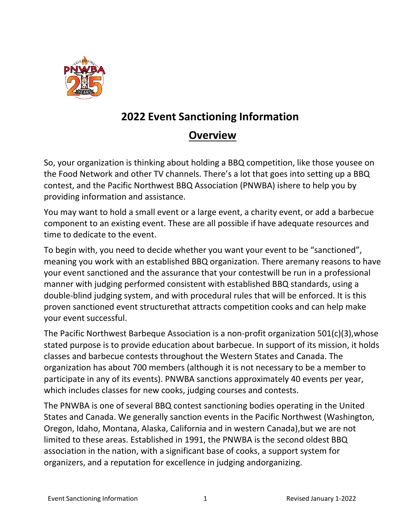

## **2022 Event Sanctioning Information**

## **Overview**

So, your organization is thinking about holding a BBQ competition, like those yousee on the Food Network and other TV channels. There's a lot that goes into setting up a BBQ contest, and the Pacific Northwest BBQ Association (PNWBA) ishere to help you by providing information and assistance.

You may want to hold a small event or a large event, a charity event, or add a barbecue component to an existing event. These are all possible if have adequate resources and time to dedicate to the event.

To begin with, you need to decide whether you want your event to be "sanctioned", meaning you work with an established BBQ organization. There aremany reasons to have your event sanctioned and the assurance that your contestwill be run in a professional manner with judging performed consistent with established BBQ standards, using a double-blind judging system, and with procedural rules that will be enforced. It is this proven sanctioned event structurethat attracts competition cooks and can help make your event successful.

The Pacific Northwest Barbeque Association is a non-profit organization 501(c)(3),whose stated purpose is to provide education about barbecue. In support of its mission, it holds classes and barbecue contests throughout the Western States and Canada. The organization has about 700 members (although it is not necessary to be a member to participate in any of its events). PNWBA sanctions approximately 40 events per year, which includes classes for new cooks, judging courses and contests.

The PNWBA is one of several BBQ contest sanctioning bodies operating in the United States and Canada. We generally sanction events in the Pacific Northwest (Washington, Oregon, Idaho, Montana, Alaska, California and in western Canada),but we are not limited to these areas. Established in 1991, the PNWBA is the second oldest BBQ association in the nation, with a significant base of cooks, a support system for organizers, and a reputation for excellence in judging andorganizing.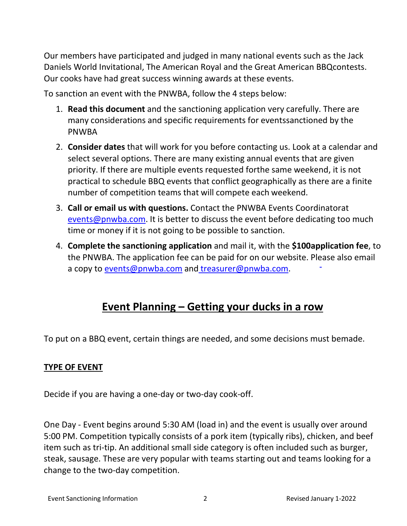Our members have participated and judged in many national events such as the Jack Daniels World Invitational, The American Royal and the Great American BBQcontests. Our cooks have had great success winning awards at these events.

To sanction an event with the PNWBA, follow the 4 steps below:

- 1. **Read this document** and the sanctioning application very carefully. There are many considerations and specific requirements for eventssanctioned by the PNWBA
- 2. **Consider dates** that will work for you before contacting us. Look at a calendar and select several options. There are many existing annual events that are given priority. If there are multiple events requested forthe same weekend, it is not practical to schedule BBQ events that conflict geographically as there are a finite number of competition teams that will compete each weekend.
- 3. **Call or email us with questions.** Contact the PNWBA Events Coordinator at [events@pnwba.com.](mailto:events@pnwba.com) It is better to discuss the event before dedicating too much time or money if it is not going to be possible to sanction.
- 4. **Complete the sanctioning application** and mail it, with the **\$100application fee**, to the PNWBA. The application fee can be paid for on our website. Please also email a copy to [events@pnwba.com](mailto:events@pnwba.com) and [treasurer@pnwba.com.](mailto:treasurer@pnwba.com)

# **Event Planning – Getting your ducks in a row**

To put on a BBQ event, certain things are needed, and some decisions must bemade.

### **TYPE OF EVENT**

Decide if you are having a one-day or two-day cook-off.

One Day - Event begins around 5:30 AM (load in) and the event is usually over around 5:00 PM. Competition typically consists of a pork item (typically ribs), chicken, and beef item such as tri-tip. An additional small side category is often included such as burger, steak, sausage. These are very popular with teams starting out and teams looking for a change to the two-day competition.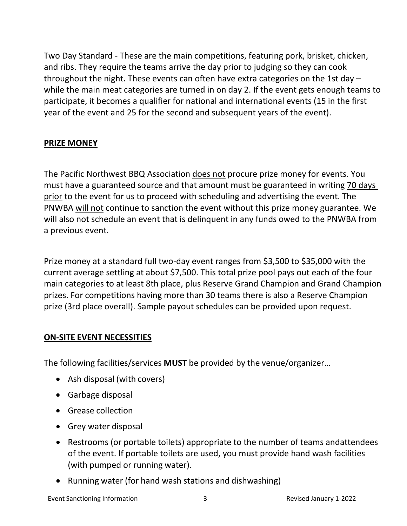Two Day Standard - These are the main competitions, featuring pork, brisket, chicken, and ribs. They require the teams arrive the day prior to judging so they can cook throughout the night. These events can often have extra categories on the 1st day – while the main meat categories are turned in on day 2. If the event gets enough teams to participate, it becomes a qualifier for national and international events (15 in the first year of the event and 25 for the second and subsequent years of the event).

### **PRIZE MONEY**

The Pacific Northwest BBQ Association does not procure prize money for events. You must have a guaranteed source and that amount must be guaranteed in writing 70 days prior to the event for us to proceed with scheduling and advertising the event. The PNWBA will not continue to sanction the event without this prize money guarantee. We will also not schedule an event that is delinquent in any funds owed to the PNWBA from a previous event.

Prize money at a standard full two-day event ranges from \$3,500 to \$35,000 with the current average settling at about \$7,500. This total prize pool pays out each of the four main categories to at least 8th place, plus Reserve Grand Champion and Grand Champion prizes. For competitions having more than 30 teams there is also a Reserve Champion prize (3rd place overall). Sample payout schedules can be provided upon request.

### **ON-SITE EVENT NECESSITIES**

The following facilities/services **MUST** be provided by the venue/organizer…

- Ash disposal (with covers)
- Garbage disposal
- Grease collection
- Grey water disposal
- Restrooms (or portable toilets) appropriate to the number of teams andattendees of the event. If portable toilets are used, you must provide hand wash facilities (with pumped or running water).
- Running water (for hand wash stations and dishwashing)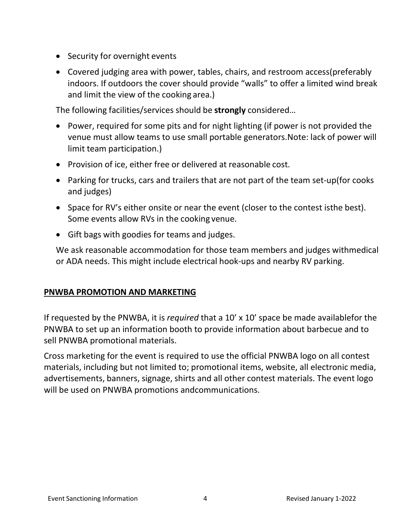- Security for overnight events
- Covered judging area with power, tables, chairs, and restroom access(preferably indoors. If outdoors the cover should provide "walls" to offer a limited wind break and limit the view of the cooking area.)

The following facilities/services should be **strongly** considered…

- Power, required for some pits and for night lighting (if power is not provided the venue must allow teams to use small portable generators.Note: lack of power will limit team participation.)
- Provision of ice, either free or delivered at reasonable cost.
- Parking for trucks, cars and trailers that are not part of the team set-up(for cooks and judges)
- Space for RV's either onsite or near the event (closer to the contest isthe best). Some events allow RVs in the cooking venue.
- Gift bags with goodies for teams and judges.

We ask reasonable accommodation for those team members and judges withmedical or ADA needs. This might include electrical hook-ups and nearby RV parking.

### **PNWBA PROMOTION AND MARKETING**

If requested by the PNWBA, it is *required* that a 10' x 10' space be made availablefor the PNWBA to set up an information booth to provide information about barbecue and to sell PNWBA promotional materials.

Cross marketing for the event is required to use the official PNWBA logo on all contest materials, including but not limited to; promotional items, website, all electronic media, advertisements, banners, signage, shirts and all other contest materials. The event logo will be used on PNWBA promotions andcommunications.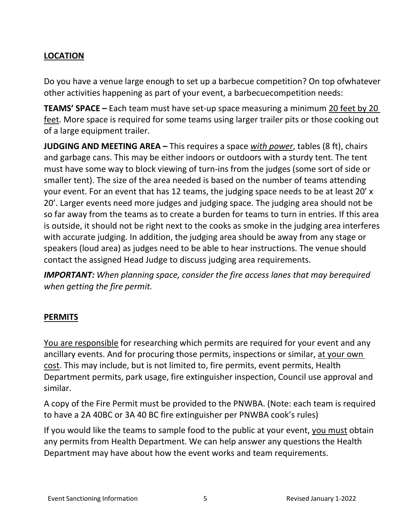### **LOCATION**

Do you have a venue large enough to set up a barbecue competition? On top ofwhatever other activities happening as part of your event, a barbecuecompetition needs:

**TEAMS' SPACE –** Each team must have set-up space measuring a minimum 20 feet by 20 feet. More space is required for some teams using larger trailer pits or those cooking out of a large equipment trailer.

**JUDGING AND MEETING AREA –** This requires a space *with power*, tables (8 ft), chairs and garbage cans. This may be either indoors or outdoors with a sturdy tent. The tent must have some way to block viewing of turn-ins from the judges (some sort of side or smaller tent). The size of the area needed is based on the number of teams attending your event. For an event that has 12 teams, the judging space needs to be at least 20' x 20'. Larger events need more judges and judging space. The judging area should not be so far away from the teams as to create a burden for teams to turn in entries. If this area is outside, it should not be right next to the cooks as smoke in the judging area interferes with accurate judging. In addition, the judging area should be away from any stage or speakers (loud area) as judges need to be able to hear instructions. The venue should contact the assigned Head Judge to discuss judging area requirements.

*IMPORTANT: When planning space, consider the fire access lanes that may berequired when getting the fire permit.*

### **PERMITS**

You are responsible for researching which permits are required for your event and any ancillary events. And for procuring those permits, inspections or similar, at your own cost. This may include, but is not limited to, fire permits, event permits, Health Department permits, park usage, fire extinguisher inspection, Council use approval and similar.

A copy of the Fire Permit must be provided to the PNWBA. (Note: each team is required to have a 2A 40BC or 3A 40 BC fire extinguisher per PNWBA cook's rules)

If you would like the teams to sample food to the public at your event, you must obtain any permits from Health Department. We can help answer any questions the Health Department may have about how the event works and team requirements.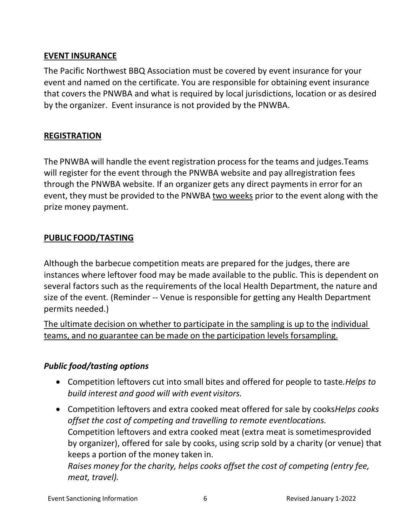### **EVENT INSURANCE**

The Pacific Northwest BBQ Association must be covered by event insurance for your event and named on the certificate. You are responsible for obtaining event insurance that covers the PNWBA and what is required by local jurisdictions, location or as desired by the organizer. Event insurance is not provided by the PNWBA.

### **REGISTRATION**

The PNWBA will handle the event registration process for the teams and judges.Teams will register for the event through the PNWBA website and pay all registration fees through the PNWBA website. If an organizer gets any direct payments in error for an event, they must be provided to the PNWBA two weeks prior to the event along with the prize money payment.

### **PUBLIC FOOD/TASTING**

Although the barbecue competition meats are prepared for the judges, there are instances where leftover food may be made available to the public. This is dependent on several factors such as the requirements of the local Health Department, the nature and size of the event. (Reminder -- Venue is responsible for getting any Health Department permits needed.)

The ultimate decision on whether to participate in the sampling is up to the individual teams, and no guarantee can be made on the participation levels forsampling.

### *Public food/tasting options*

- Competition leftovers cut into small bites and offered for people to taste*. Helps to build interest and good will with event visitors.*
- Competition leftovers and extra cooked meat offered for sale by cooks*Helps cooks offset the cost of competing and travelling to remote eventlocations.* Competition leftovers and extra cooked meat (extra meat is sometimesprovided by organizer), offered for sale by cooks, using scrip sold by a charity (or venue) that keeps a portion of the money taken in.

*Raises money for the charity, helps cooks offset the cost of competing (entry fee, meat, travel).*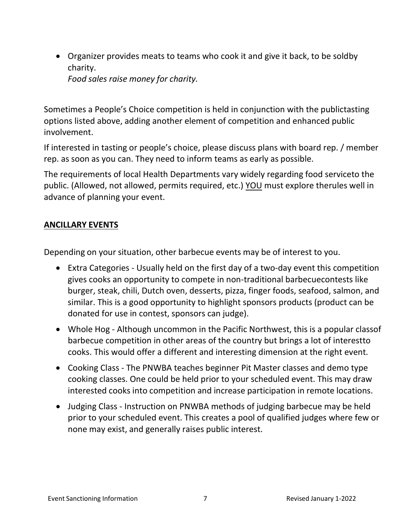• Organizer provides meats to teams who cook it and give it back, to be soldby charity.

*Food sales raise money for charity.*

Sometimes a People's Choice competition is held in conjunction with the publictasting options listed above, adding another element of competition and enhanced public involvement.

If interested in tasting or people's choice, please discuss plans with board rep. / member rep. as soon as you can. They need to inform teams as early as possible.

The requirements of local Health Departments vary widely regarding food serviceto the public. (Allowed, not allowed, permits required, etc.) YOU must explore therules well in advance of planning your event.

### **ANCILLARY EVENTS**

Depending on your situation, other barbecue events may be of interest to you.

- Extra Categories Usually held on the first day of a two-day event this competition gives cooks an opportunity to compete in non-traditional barbecuecontests like burger, steak, chili, Dutch oven, desserts, pizza, finger foods, seafood, salmon, and similar. This is a good opportunity to highlight sponsors products (product can be donated for use in contest, sponsors can judge).
- Whole Hog Although uncommon in the Pacific Northwest, this is a popular classof barbecue competition in other areas of the country but brings a lot of interestto cooks. This would offer a different and interesting dimension at the right event.
- Cooking Class The PNWBA teaches beginner Pit Master classes and demo type cooking classes. One could be held prior to your scheduled event. This may draw interested cooks into competition and increase participation in remote locations.
- Judging Class Instruction on PNWBA methods of judging barbecue may be held prior to your scheduled event. This creates a pool of qualified judges where few or none may exist, and generally raises public interest.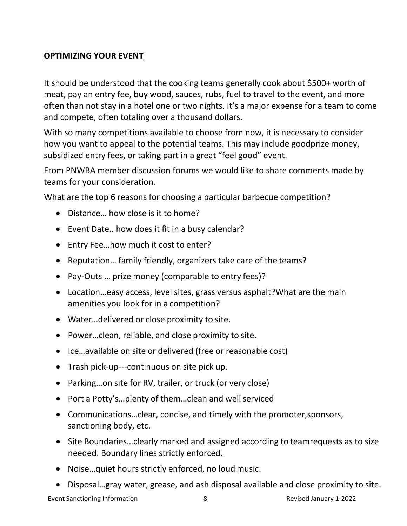### **OPTIMIZING YOUR EVENT**

It should be understood that the cooking teams generally cook about \$500+ worth of meat, pay an entry fee, buy wood, sauces, rubs, fuel to travel to the event, and more often than not stay in a hotel one or two nights. It's a major expense for a team to come and compete, often totaling over a thousand dollars.

With so many competitions available to choose from now, it is necessary to consider how you want to appeal to the potential teams. This may include goodprize money, subsidized entry fees, or taking part in a great "feel good" event.

From PNWBA member discussion forums we would like to share comments made by teams for your consideration.

What are the top 6 reasons for choosing a particular barbecue competition?

- Distance... how close is it to home?
- Event Date.. how does it fit in a busy calendar?
- Entry Fee…how much it cost to enter?
- Reputation… family friendly, organizers take care of the teams?
- Pay-Outs … prize money (comparable to entry fees)?
- Location…easy access, level sites, grass versus asphalt?What are the main amenities you look for in a competition?
- Water…delivered or close proximity to site.
- Power…clean, reliable, and close proximity to site.
- Ice…available on site or delivered (free or reasonable cost)
- Trash pick-up---continuous on site pick up.
- Parking…on site for RV, trailer, or truck (or very close)
- Port a Potty's...plenty of them...clean and well serviced
- Communications…clear, concise, and timely with the promoter,sponsors, sanctioning body, etc.
- Site Boundaries…clearly marked and assigned according to teamrequests as to size needed. Boundary lines strictly enforced.
- Noise…quiet hours strictly enforced, no loud music.
- Disposal…gray water, grease, and ash disposal available and close proximity to site.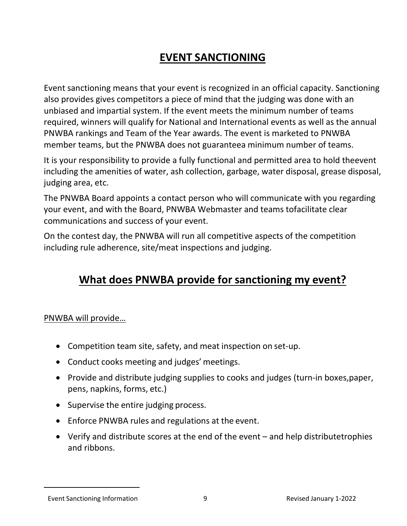# **EVENT SANCTIONING**

Event sanctioning means that your event is recognized in an official capacity. Sanctioning also provides gives competitors a piece of mind that the judging was done with an unbiased and impartial system. If the event meets the minimum number of teams required, winners will qualify for National and International events as well as the annual PNWBA rankings and Team of the Year awards. The event is marketed to PNWBA member teams, but the PNWBA does not guaranteea minimum number of teams.

It is your responsibility to provide a fully functional and permitted area to hold theevent including the amenities of water, ash collection, garbage, water disposal, grease disposal, judging area, etc.

The PNWBA Board appoints a contact person who will communicate with you regarding your event, and with the Board, PNWBA Webmaster and teams tofacilitate clear communications and success of your event.

On the contest day, the PNWBA will run all competitive aspects of the competition including rule adherence, site/meat inspections and judging.

## **What does PNWBA provide for sanctioning my event?**

#### PNWBA will provide…

- Competition team site, safety, and meat inspection on set-up.
- Conduct cooks meeting and judges'meetings.
- Provide and distribute judging supplies to cooks and judges (turn-in boxes,paper, pens, napkins, forms, etc.)
- Supervise the entire judging process.
- Enforce PNWBA rules and regulations at the event.
- Verify and distribute scores at the end of the event and help distributetrophies and ribbons.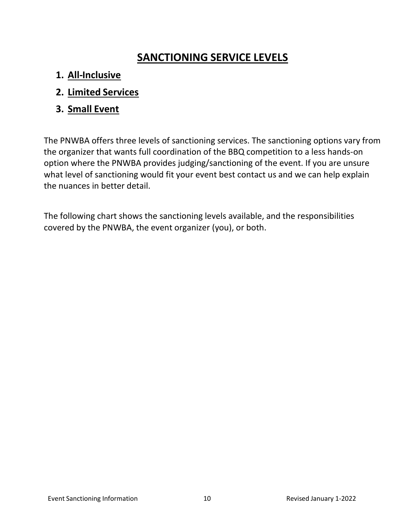# **SANCTIONING SERVICE LEVELS**

- **1. All-Inclusive**
- **2. Limited Services**
- **3. Small Event**

The PNWBA offers three levels of sanctioning services. The sanctioning options vary from the organizer that wants full coordination of the BBQ competition to a less hands- on option where the PNWBA provides judging/sanctioning of the event. If you are unsure what level of sanctioning would fit your event best contact us and we can help explain the nuances in better detail.

The following chart shows the sanctioning levels available, and the responsibilities covered by the PNWBA, the event organizer (you), or both.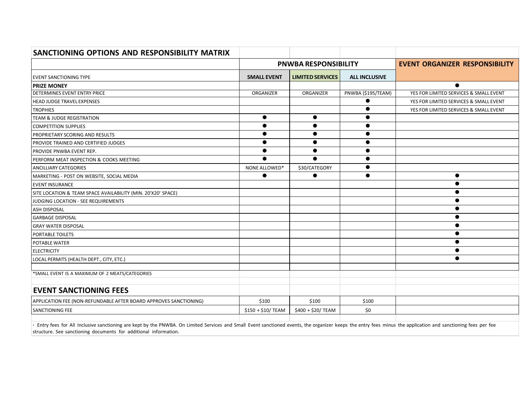| SANCTIONING OPTIONS AND RESPONSIBILITY MATRIX                     |                             |                         |                      |                                        |
|-------------------------------------------------------------------|-----------------------------|-------------------------|----------------------|----------------------------------------|
|                                                                   | <b>PNWBA RESPONSIBILITY</b> |                         |                      | <b>EVENT ORGANIZER RESPONSIBILITY</b>  |
| <b>EVENT SANCTIONING TYPE</b>                                     | <b>SMALL EVENT</b>          | <b>LIMITED SERVICES</b> | <b>ALL INCLUSIVE</b> |                                        |
| <b>PRIZE MONEY</b>                                                |                             |                         |                      | $\bullet$                              |
| <b>DETERMINES EVENT ENTRY PRICE</b>                               | ORGANIZER                   | ORGANIZER               | PNWBA (\$195/TEAM)   | YES FOR LIMITED SERVICES & SMALL EVENT |
| <b>HEAD JUDGE TRAVEL EXPENSES</b>                                 |                             |                         |                      | YES FOR LIMITED SERVICES & SMALL EVENT |
| <b>TROPHIES</b>                                                   |                             |                         |                      | YES FOR LIMITED SERVICES & SMALL EVENT |
| <b>TEAM &amp; JUDGE REGISTRATION</b>                              | $\bullet$                   | $\bullet$               | $\bullet$            |                                        |
| <b>COMPETITION SUPPLIES</b>                                       | $\bullet$                   | $\bullet$               | $\bullet$            |                                        |
| <b>PROPRIETARY SCORING AND RESULTS</b>                            |                             | $\bullet$               | ●                    |                                        |
| PROVIDE TRAINED AND CERTIFIED JUDGES                              |                             | $\bullet$               | $\bullet$            |                                        |
| <b>PROVIDE PNWBA EVENT REP.</b>                                   | $\bullet$                   | $\bullet$               | $\bullet$            |                                        |
| PERFORM MEAT INSPECTION & COOKS MEETING                           | $\bullet$                   | $\bullet$               | $\bullet$            |                                        |
| <b>ANCILLIARY CATEGORIES</b>                                      | NONE ALLOWED*               | \$30/CATEGORY           | ●                    |                                        |
| MARKETING - POST ON WEBSITE, SOCIAL MEDIA                         | ●                           | 0                       | ●                    | $\bullet$                              |
| <b>EVENT INSURANCE</b>                                            |                             |                         |                      | $\bullet$                              |
| SITE LOCATION & TEAM SPACE AVAILABILITY (MIN. 20'X20' SPACE)      |                             |                         |                      | $\bullet$                              |
| JUDGING LOCATION - SEE REQUIREMENTS                               |                             |                         |                      |                                        |
| <b>ASH DISPOSAL</b>                                               |                             |                         |                      |                                        |
| <b>GARBAGE DISPOSAL</b>                                           |                             |                         |                      | $\bullet$                              |
| <b>GRAY WATER DISPOSAL</b>                                        |                             |                         |                      | $\bullet$                              |
| PORTABLE TOILETS                                                  |                             |                         |                      | $\bullet$                              |
| <b>POTABLE WATER</b>                                              |                             |                         |                      | $\bullet$                              |
| <b>ELECTRICITY</b>                                                |                             |                         |                      | $\bullet$                              |
| LOCAL PERMITS (HEALTH DEPT., CITY, ETC.)                          |                             |                         |                      | $\bullet$                              |
| *SMALL EVENT IS A MAXIMUM OF 2 MEATS/CATEGORIES                   |                             |                         |                      |                                        |
|                                                                   |                             |                         |                      |                                        |
| <b>EVENT SANCTIONING FEES</b>                                     |                             |                         |                      |                                        |
| APPLICATION FEE (NON-REFUNDABLE AFTER BOARD APPROVES SANCTIONING) | \$100                       | \$100                   | \$100                |                                        |
| SANCTIONING FEE                                                   | \$150 + \$10/ TEAM          | \$400 + \$20/ TEAM      | \$0                  |                                        |
|                                                                   |                             |                         |                      |                                        |

**·** Entry fees for All Inclusive sanctioning are kept by the PNWBA. On Limited Services and Small Event sanctioned events, the organizer keeps the entry fees minus the application and sanctioning fees per fee structure. See sanctioning documents for additional information.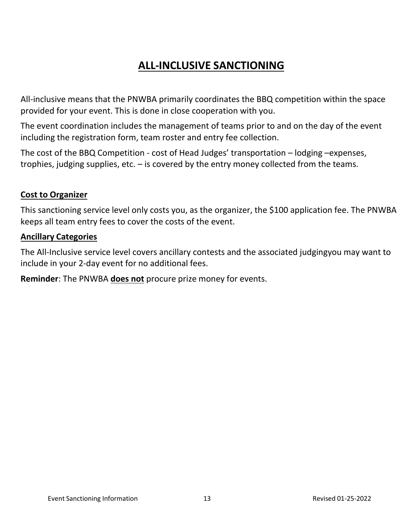# **ALL-INCLUSIVE SANCTIONING**

All-inclusive means that the PNWBA primarily coordinates the BBQ competition within the space provided for your event. This is done in close cooperation with you.

The event coordination includes the management of teams prior to and on the day of the event including the registration form, team roster and entry fee collection.

The cost of the BBQ Competition - cost of Head Judges' transportation – lodging – expenses, trophies, judging supplies, etc. – is covered by the entry money collected from the teams.

### **Cost to Organizer**

This sanctioning service level only costs you, as the organizer, the \$100 application fee. The PNWBA keeps all team entry fees to cover the costs of the event.

### **Ancillary Categories**

The All-Inclusive service level covers ancillary contests and the associated judgingyou may want to include in your 2-day event for no additional fees.

**Reminder**: The PNWBA **does not** procure prize money for events.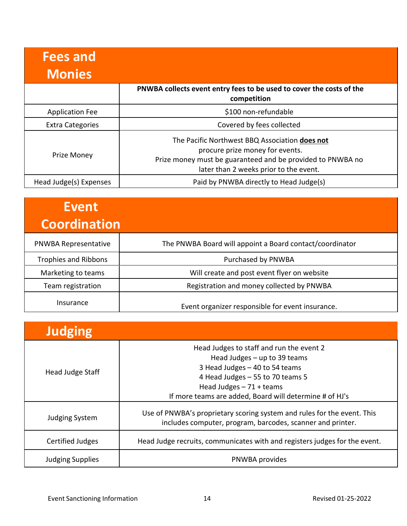| <b>Fees and</b><br><b>Monies</b> |                                                                                                                                                                                           |
|----------------------------------|-------------------------------------------------------------------------------------------------------------------------------------------------------------------------------------------|
|                                  | PNWBA collects event entry fees to be used to cover the costs of the<br>competition                                                                                                       |
| <b>Application Fee</b>           | \$100 non-refundable                                                                                                                                                                      |
| <b>Extra Categories</b>          | Covered by fees collected                                                                                                                                                                 |
| Prize Money                      | The Pacific Northwest BBQ Association does not<br>procure prize money for events.<br>Prize money must be guaranteed and be provided to PNWBA no<br>later than 2 weeks prior to the event. |
| Head Judge(s) Expenses           | Paid by PNWBA directly to Head Judge(s)                                                                                                                                                   |

| Event<br><b>Coordination</b> |                                                          |
|------------------------------|----------------------------------------------------------|
| <b>PNWBA Representative</b>  | The PNWBA Board will appoint a Board contact/coordinator |
| <b>Trophies and Ribbons</b>  | Purchased by PNWBA                                       |
| Marketing to teams           | Will create and post event flyer on website              |
| Team registration            | Registration and money collected by PNWBA                |
| Insurance                    | Event organizer responsible for event insurance.         |

| <b>Judging</b>          |                                                                                                                                                                                                                                          |
|-------------------------|------------------------------------------------------------------------------------------------------------------------------------------------------------------------------------------------------------------------------------------|
| Head Judge Staff        | Head Judges to staff and run the event 2<br>Head Judges $-$ up to 39 teams<br>3 Head Judges - 40 to 54 teams<br>4 Head Judges - 55 to 70 teams 5<br>Head Judges $-71 +$ teams<br>If more teams are added, Board will determine # of HJ's |
| Judging System          | Use of PNWBA's proprietary scoring system and rules for the event. This<br>includes computer, program, barcodes, scanner and printer.                                                                                                    |
| <b>Certified Judges</b> | Head Judge recruits, communicates with and registers judges for the event.                                                                                                                                                               |
| <b>Judging Supplies</b> | PNWBA provides                                                                                                                                                                                                                           |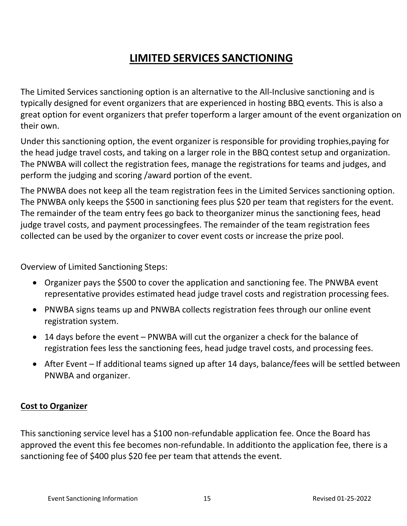# **LIMITED SERVICES SANCTIONING**

The Limited Services sanctioning option is an alternative to the All-Inclusive sanctioning and is typically designed for event organizers that are experienced in hosting BBQ events. This is also a great option for event organizers that prefer toperform a larger amount of the event organization on their own.

Under this sanctioning option, the event organizer is responsible for providing trophies,paying for the head judge travel costs, and taking on a larger role in the BBQ contest setup and organization. The PNWBA will collect the registration fees, manage the registrations for teams and judges, and perform the judging and scoring /award portion of the event.

The PNWBA does not keep all the team registration fees in the Limited Services sanctioning option. The PNWBA only keeps the \$500 in sanctioning fees plus \$20 per team that registers for the event. The remainder of the team entry fees go back to theorganizer minus the sanctioning fees, head judge travel costs, and payment processingfees. The remainder of the team registration fees collected can be used by the organizer to cover event costs or increase the prize pool.

Overview of Limited Sanctioning Steps:

- Organizer pays the \$500 to cover the application and sanctioning fee. The PNWBA event representative provides estimated head judge travel costs and registration processing fees.
- PNWBA signs teams up and PNWBA collects registration fees through our online event registration system.
- 14 days before the event PNWBA will cut the organizer a check for the balance of registration fees less the sanctioning fees, head judge travel costs, and processing fees.
- After Event If additional teams signed up after 14 days, balance/fees will be settled between PNWBA and organizer.

### **Cost to Organizer**

This sanctioning service level has a \$100 non-refundable application fee. Once the Board has approved the event this fee becomes non-refundable. In additionto the application fee, there is a sanctioning fee of \$400 plus \$20 fee per team that attends the event.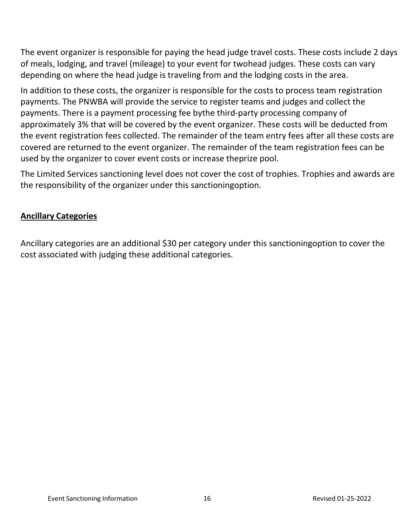The event organizer is responsible for paying the head judge travel costs. These costs include 2 days of meals, lodging, and travel (mileage) to your event for twohead judges. These costs can vary depending on where the head judge is traveling from and the lodging costs in the area.

In addition to these costs, the organizer is responsible for the costs to process team registration payments. The PNWBA will provide the service to register teams and judges and collect the payments. There is a payment processing fee bythe third-party processing company of approximately 3% that will be covered by the event organizer. These costs will be deducted from the event registration fees collected. The remainder of the team entry fees after all these costs are covered are returned to the event organizer. The remainder of the team registration fees can be used by the organizer to cover event costs or increase theprize pool.

The Limited Services sanctioning level does not cover the cost of trophies. Trophies and awards are the responsibility of the organizer under this sanctioningoption.

### **Ancillary Categories**

Ancillary categories are an additional \$30 per category under this sanctioningoption to cover the cost associated with judging these additional categories.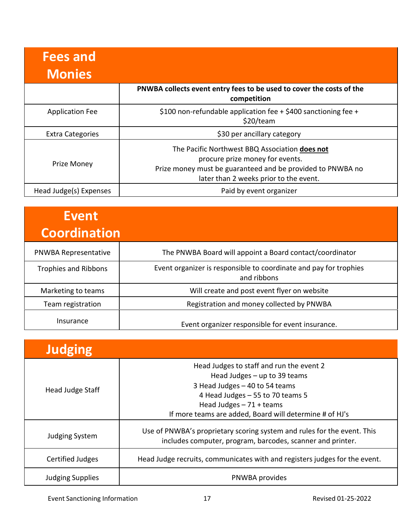| <b>Fees and</b><br><b>Monies</b> |                                                                                                                                                                                           |
|----------------------------------|-------------------------------------------------------------------------------------------------------------------------------------------------------------------------------------------|
|                                  | PNWBA collects event entry fees to be used to cover the costs of the<br>competition                                                                                                       |
| <b>Application Fee</b>           | \$100 non-refundable application fee $+$ \$400 sanctioning fee $+$<br>\$20/team                                                                                                           |
| <b>Extra Categories</b>          | \$30 per ancillary category                                                                                                                                                               |
| <b>Prize Money</b>               | The Pacific Northwest BBQ Association does not<br>procure prize money for events.<br>Prize money must be guaranteed and be provided to PNWBA no<br>later than 2 weeks prior to the event. |
| Head Judge(s) Expenses           | Paid by event organizer                                                                                                                                                                   |

| <b>Event</b><br><b>Coordination</b> |                                                                                  |
|-------------------------------------|----------------------------------------------------------------------------------|
| <b>PNWBA Representative</b>         | The PNWBA Board will appoint a Board contact/coordinator                         |
| <b>Trophies and Ribbons</b>         | Event organizer is responsible to coordinate and pay for trophies<br>and ribbons |
| Marketing to teams                  | Will create and post event flyer on website                                      |
| Team registration                   | Registration and money collected by PNWBA                                        |
| Insurance                           | Event organizer responsible for event insurance.                                 |

| <b>Judging</b>          |                                                                                                                                                                                                                                        |
|-------------------------|----------------------------------------------------------------------------------------------------------------------------------------------------------------------------------------------------------------------------------------|
| Head Judge Staff        | Head Judges to staff and run the event 2<br>Head Judges - up to 39 teams<br>3 Head Judges - 40 to 54 teams<br>4 Head Judges - 55 to 70 teams 5<br>Head Judges $-71 +$ teams<br>If more teams are added, Board will determine # of HJ's |
| Judging System          | Use of PNWBA's proprietary scoring system and rules for the event. This<br>includes computer, program, barcodes, scanner and printer.                                                                                                  |
| Certified Judges        | Head Judge recruits, communicates with and registers judges for the event.                                                                                                                                                             |
| <b>Judging Supplies</b> | PNWBA provides                                                                                                                                                                                                                         |

Event Sanctioning Information 17 17 The Service of the Revised 01-25-2022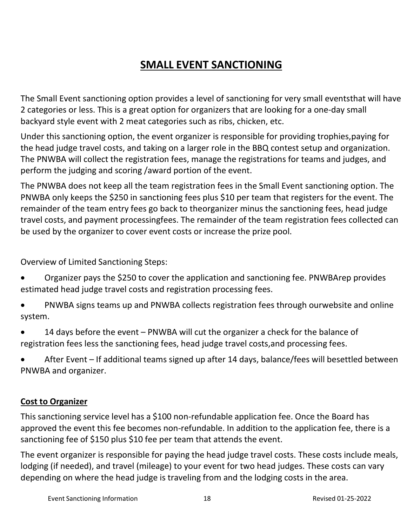# **SMALL EVENT SANCTIONING**

The Small Event sanctioning option provides a level of sanctioning for very small eventsthat will have 2 categories or less. This is a great option for organizers that are looking for a one-day small backyard style event with 2 meat categories such as ribs, chicken, etc.

Under this sanctioning option, the event organizer is responsible for providing trophies,paying for the head judge travel costs, and taking on a larger role in the BBQ contest setup and organization. The PNWBA will collect the registration fees, manage the registrations for teams and judges, and perform the judging and scoring /award portion of the event.

The PNWBA does not keep all the team registration fees in the Small Event sanctioning option. The PNWBA only keeps the \$250 in sanctioning fees plus \$10 per team that registers for the event. The remainder of the team entry fees go back to theorganizer minus the sanctioning fees, head judge travel costs, and payment processingfees. The remainder of the team registration fees collected can be used by the organizer to cover event costs or increase the prize pool.

Overview of Limited Sanctioning Steps:

- Organizer pays the \$250 to cover the application and sanctioning fee. PNWBArep provides estimated head judge travel costs and registration processing fees.
- PNWBA signs teams up and PNWBA collects registration fees through ourwebsite and online system.
- 14 days before the event PNWBA will cut the organizer a check for the balance of registration fees less the sanctioning fees, head judge travel costs,and processing fees.
- After Event If additional teams signed up after 14 days, balance/fees will besettled between PNWBA and organizer.

### **Cost to Organizer**

This sanctioning service level has a \$100 non-refundable application fee. Once the Board has approved the event this fee becomes non-refundable. In addition to the application fee, there is a sanctioning fee of \$150 plus \$10 fee per team that attends the event.

The event organizer is responsible for paying the head judge travel costs. These costs include meals, lodging (if needed), and travel (mileage) to your event for two head judges. These costs can vary depending on where the head judge is traveling from and the lodging costs in the area.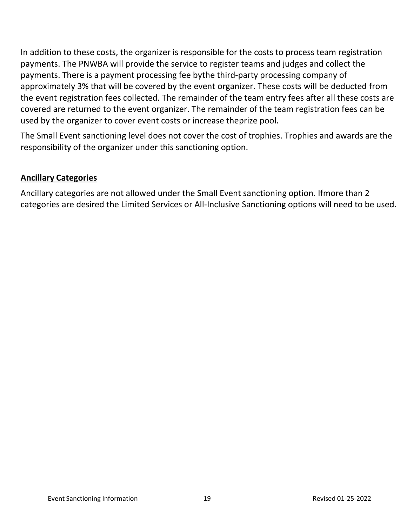In addition to these costs, the organizer is responsible for the costs to process team registration payments. The PNWBA will provide the service to register teams and judges and collect the payments. There is a payment processing fee bythe third-party processing company of approximately 3% that will be covered by the event organizer. These costs will be deducted from the event registration fees collected. The remainder of the team entry fees after all these costs are covered are returned to the event organizer. The remainder of the team registration fees can be used by the organizer to cover event costs or increase theprize pool.

The Small Event sanctioning level does not cover the cost of trophies. Trophies and awards are the responsibility of the organizer under this sanctioning option.

### **Ancillary Categories**

Ancillary categories are not allowed under the Small Event sanctioning option. Ifmore than 2 categories are desired the Limited Services or All-Inclusive Sanctioning options will need to be used.